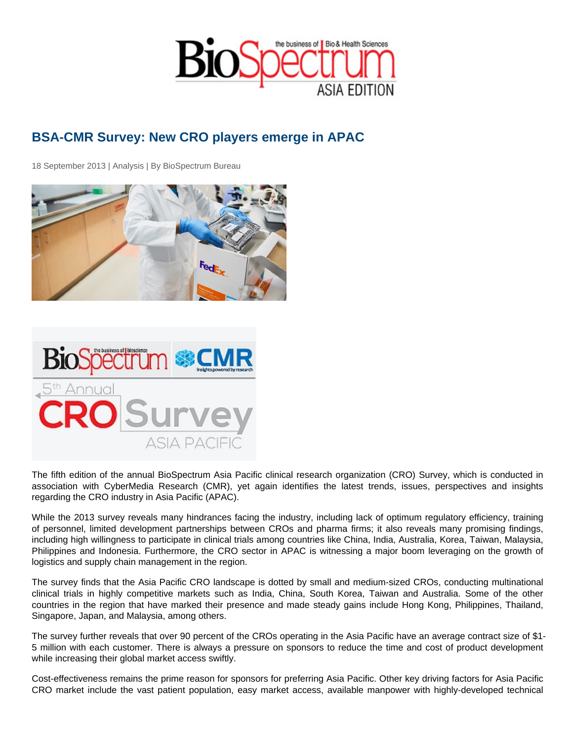## BSA-CMR Survey: New CRO players emerge in APAC

18 September 2013 | Analysis | By BioSpectrum Bureau

The fifth edition of the annual BioSpectrum Asia Pacific clinical research organization (CRO) Survey, which is conducted in association with CyberMedia Research (CMR), yet again identifies the latest trends, issues, perspectives and insights regarding the CRO industry in Asia Pacific (APAC).

While the 2013 survey reveals many hindrances facing the industry, including lack of optimum regulatory efficiency, training of personnel, limited development partnerships between CROs and pharma firms; it also reveals many promising findings, including high willingness to participate in clinical trials among countries like China, India, Australia, Korea, Taiwan, Malaysia, Philippines and Indonesia. Furthermore, the CRO sector in APAC is witnessing a major boom leveraging on the growth of logistics and supply chain management in the region.

The survey finds that the Asia Pacific CRO landscape is dotted by small and medium-sized CROs, conducting multinational clinical trials in highly competitive markets such as India, China, South Korea, Taiwan and Australia. Some of the other countries in the region that have marked their presence and made steady gains include Hong Kong, Philippines, Thailand, Singapore, Japan, and Malaysia, among others.

The survey further reveals that over 90 percent of the CROs operating in the Asia Pacific have an average contract size of \$1- 5 million with each customer. There is always a pressure on sponsors to reduce the time and cost of product development while increasing their global market access swiftly.

Cost-effectiveness remains the prime reason for sponsors for preferring Asia Pacific. Other key driving factors for Asia Pacific CRO market include the vast patient population, easy market access, available manpower with highly-developed technical